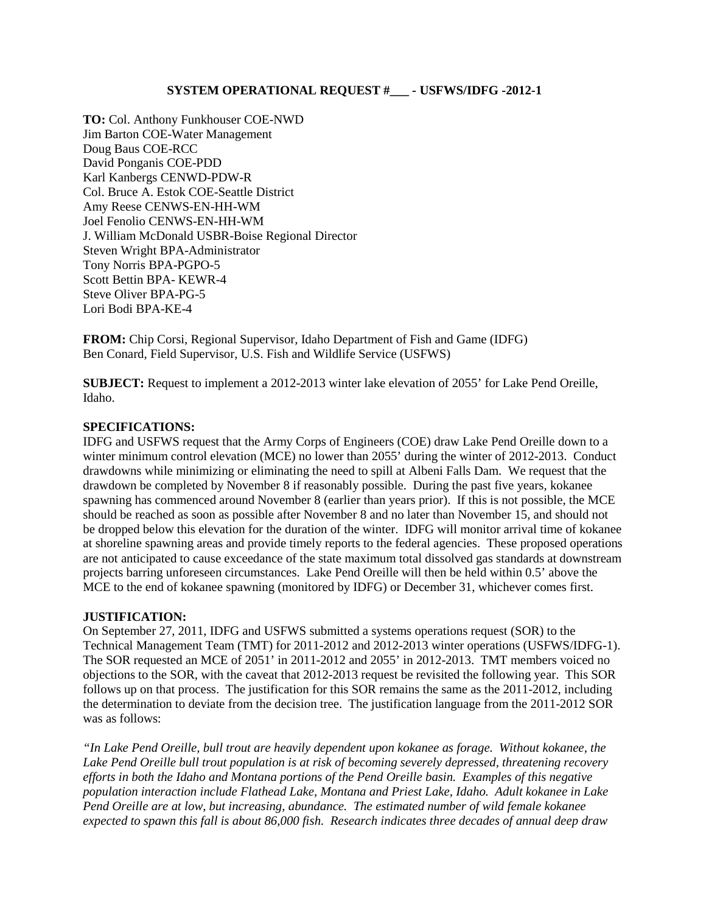## **SYSTEM OPERATIONAL REQUEST #\_\_\_ - USFWS/IDFG -2012-1**

**TO:** Col. Anthony Funkhouser COE-NWD Jim Barton COE-Water Management Doug Baus COE-RCC David Ponganis COE-PDD Karl Kanbergs CENWD-PDW-R Col. Bruce A. Estok COE-Seattle District Amy Reese CENWS-EN-HH-WM Joel Fenolio CENWS-EN-HH-WM J. William McDonald USBR-Boise Regional Director Steven Wright BPA-Administrator Tony Norris BPA-PGPO-5 Scott Bettin BPA- KEWR-4 Steve Oliver BPA-PG-5 Lori Bodi BPA-KE-4

**FROM:** Chip Corsi, Regional Supervisor, Idaho Department of Fish and Game (IDFG) Ben Conard, Field Supervisor, U.S. Fish and Wildlife Service (USFWS)

**SUBJECT:** Request to implement a 2012-2013 winter lake elevation of 2055' for Lake Pend Oreille, Idaho.

## **SPECIFICATIONS:**

IDFG and USFWS request that the Army Corps of Engineers (COE) draw Lake Pend Oreille down to a winter minimum control elevation (MCE) no lower than 2055' during the winter of 2012-2013. Conduct drawdowns while minimizing or eliminating the need to spill at Albeni Falls Dam. We request that the drawdown be completed by November 8 if reasonably possible. During the past five years, kokanee spawning has commenced around November 8 (earlier than years prior). If this is not possible, the MCE should be reached as soon as possible after November 8 and no later than November 15, and should not be dropped below this elevation for the duration of the winter. IDFG will monitor arrival time of kokanee at shoreline spawning areas and provide timely reports to the federal agencies. These proposed operations are not anticipated to cause exceedance of the state maximum total dissolved gas standards at downstream projects barring unforeseen circumstances. Lake Pend Oreille will then be held within 0.5' above the MCE to the end of kokanee spawning (monitored by IDFG) or December 31, whichever comes first.

## **JUSTIFICATION:**

On September 27, 2011, IDFG and USFWS submitted a systems operations request (SOR) to the Technical Management Team (TMT) for 2011-2012 and 2012-2013 winter operations (USFWS/IDFG-1). The SOR requested an MCE of 2051' in 2011-2012 and 2055' in 2012-2013. TMT members voiced no objections to the SOR, with the caveat that 2012-2013 request be revisited the following year. This SOR follows up on that process. The justification for this SOR remains the same as the 2011-2012, including the determination to deviate from the decision tree. The justification language from the 2011-2012 SOR was as follows:

*"In Lake Pend Oreille, bull trout are heavily dependent upon kokanee as forage. Without kokanee, the Lake Pend Oreille bull trout population is at risk of becoming severely depressed, threatening recovery efforts in both the Idaho and Montana portions of the Pend Oreille basin. Examples of this negative population interaction include Flathead Lake, Montana and Priest Lake, Idaho. Adult kokanee in Lake Pend Oreille are at low, but increasing, abundance. The estimated number of wild female kokanee expected to spawn this fall is about 86,000 fish. Research indicates three decades of annual deep draw*